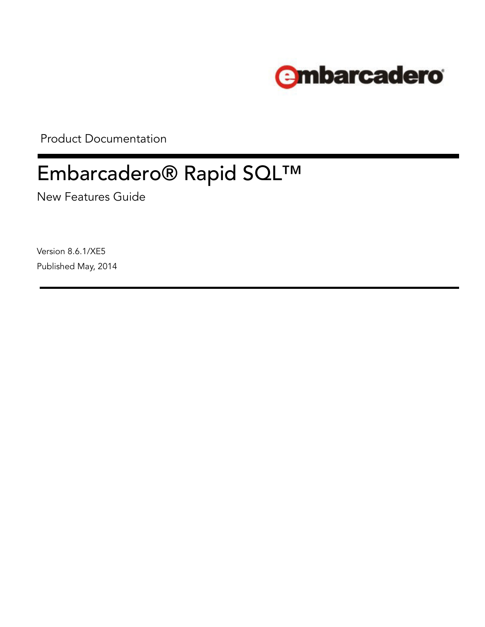

Product Documentation

# Embarcadero® Rapid SQL™

New Features Guide

Version 8.6.1/XE5 Published May, 2014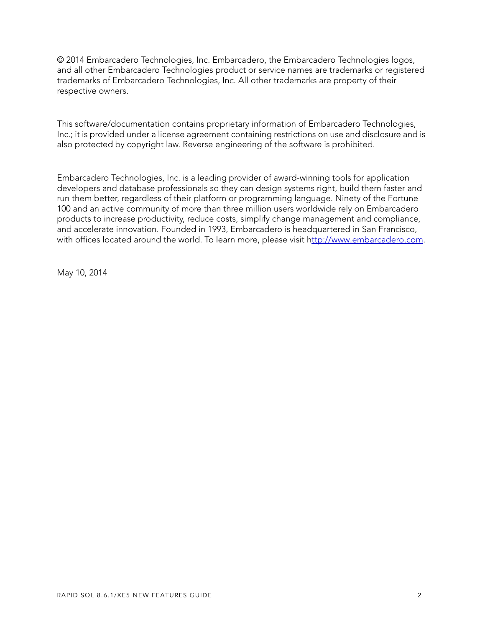© 2014 Embarcadero Technologies, Inc. Embarcadero, the Embarcadero Technologies logos, and all other Embarcadero Technologies product or service names are trademarks or registered trademarks of Embarcadero Technologies, Inc. All other trademarks are property of their respective owners.

This software/documentation contains proprietary information of Embarcadero Technologies, Inc.; it is provided under a license agreement containing restrictions on use and disclosure and is also protected by copyright law. Reverse engineering of the software is prohibited.

Embarcadero Technologies, Inc. is a leading provider of award-winning tools for application developers and database professionals so they can design systems right, build them faster and run them better, regardless of their platform or programming language. Ninety of the Fortune 100 and an active community of more than three million users worldwide rely on Embarcadero products to increase productivity, reduce costs, simplify change management and compliance, and accelerate innovation. Founded in 1993, Embarcadero is headquartered in San Francisco, with offices located around the world. To learn more, please visit h[ttp://www.embarcadero.com](http://www.embarcadero.com).

May 10, 2014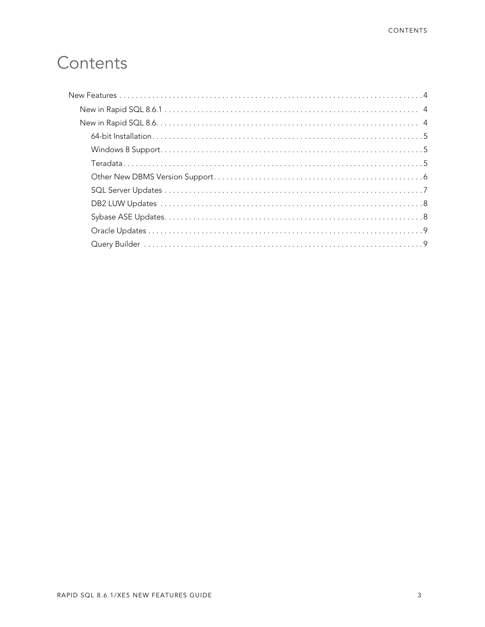# Contents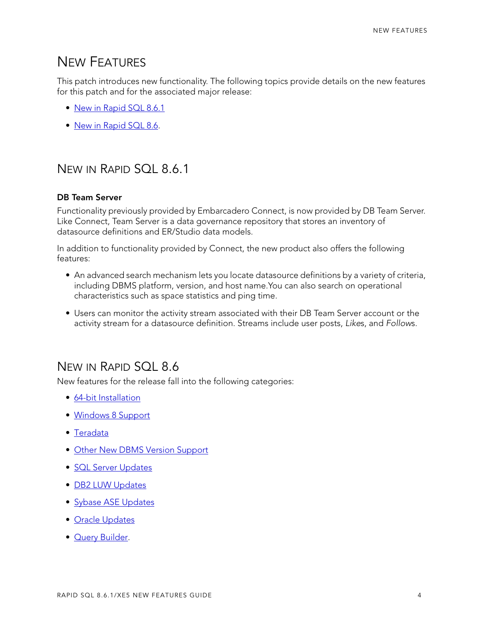# <span id="page-3-0"></span>NEW FEATURES

This patch introduces new functionality. The following topics provide details on the new features for this patch and for the associated major release:

- [New in Rapid SQL 8.6.1](#page-3-1)
- [New in Rapid SQL 8.6.](#page-3-2)

# <span id="page-3-1"></span>NEW IN RAPID SQL 8.6.1

#### **DB Team Server**

Functionality previously provided by Embarcadero Connect, is now provided by DB Team Server. Like Connect, Team Server is a data governance repository that stores an inventory of datasource definitions and ER/Studio data models.

In addition to functionality provided by Connect, the new product also offers the following features:

- An advanced search mechanism lets you locate datasource definitions by a variety of criteria, including DBMS platform, version, and host name.You can also search on operational characteristics such as space statistics and ping time.
- Users can monitor the activity stream associated with their DB Team Server account or the activity stream for a datasource definition. Streams include user posts, *Like*s, and *Follow*s.

# <span id="page-3-2"></span>NEW IN RAPID SOL 8.6

New features for the release fall into the following categories:

- [64-bit Installation](#page-4-0)
- [Windows 8 Support](#page-4-1)
- [Teradata](#page-4-2)
- [Other New DBMS Version Support](#page-5-0)
- [SQL Server Updates](#page-6-0)
- [DB2 LUW Updates](#page-7-0)
- [Sybase ASE Updates](#page-7-1)
- [Oracle Updates](#page-8-0)
- [Query Builder](#page-8-1).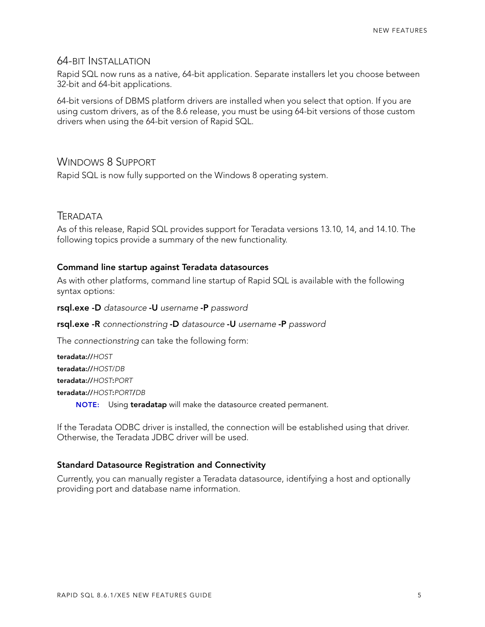#### <span id="page-4-0"></span>64-BIT INSTALLATION

Rapid SQL now runs as a native, 64-bit application. Separate installers let you choose between 32-bit and 64-bit applications.

64-bit versions of DBMS platform drivers are installed when you select that option. If you are using custom drivers, as of the 8.6 release, you must be using 64-bit versions of those custom drivers when using the 64-bit version of Rapid SQL.

#### <span id="page-4-1"></span>WINDOWS 8 SUPPORT

Rapid SQL is now fully supported on the Windows 8 operating system.

#### <span id="page-4-2"></span>**TERADATA**

As of this release, Rapid SQL provides support for Teradata versions 13.10, 14, and 14.10. The following topics provide a summary of the new functionality.

#### **Command line startup against Teradata datasources**

As with other platforms, command line startup of Rapid SQL is available with the following syntax options:

**rsql.exe -D** *datasource* **-U** *username* **-P** *password*

#### **rsql.exe -R** *connectionstring* **-D** *datasource* **-U** *username* **-P** *password*

The *connectionstring* can take the following form:

**teradata://***HOST* **teradata://***HOST*/*DB* **teradata://***HOST***:***PORT* **teradata://***HOST***:***PORT***/***DB* **NOTE:** Using **teradatap** will make the datasource created permanent.

If the Teradata ODBC driver is installed, the connection will be established using that driver. Otherwise, the Teradata JDBC driver will be used.

#### **Standard Datasource Registration and Connectivity**

Currently, you can manually register a Teradata datasource, identifying a host and optionally providing port and database name information.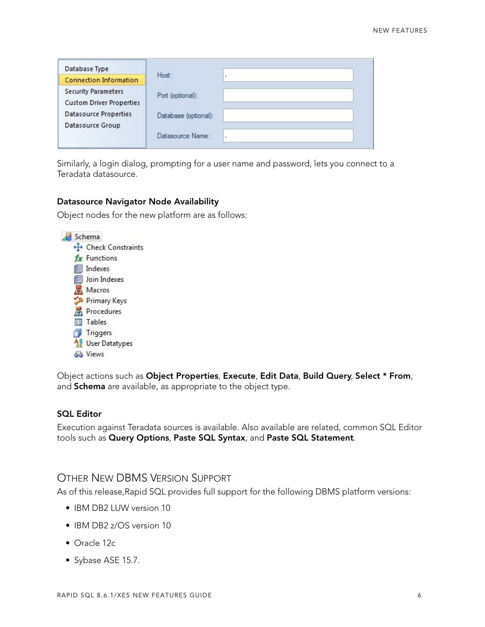| Database Type                   |                      |   |
|---------------------------------|----------------------|---|
| <b>Connection Information</b>   | Host:                |   |
| <b>Security Parameters</b>      | Port (optional):     |   |
| <b>Custom Driver Properties</b> |                      |   |
| <b>Datasource Properties</b>    | Database (optional): |   |
| Datasource Group                |                      |   |
|                                 | Datasource Name:     | ٠ |
|                                 |                      |   |

Similarly, a login dialog, prompting for a user name and password, lets you connect to a Teradata datasource.

#### **Datasource Navigator Node Availability**

Object nodes for the new platform are as follows:



Object actions such as **Object Properties**, **Execute**, **Edit Data**, **Build Query**, **Select \* From**, and **Schema** are available, as appropriate to the object type.

#### **SQL Editor**

Execution against Teradata sources is available. Also available are related, common SQL Editor tools such as **Query Options**, **Paste SQL Syntax**, and **Paste SQL Statement**.

#### <span id="page-5-0"></span>OTHER NEW DBMS VERSION SUPPORT

As of this release,Rapid SQL provides full support for the following DBMS platform versions:

- IBM DB2 LUW version 10
- IBM DB2 z/OS version 10
- Oracle 12c
- Sybase ASE 15.7.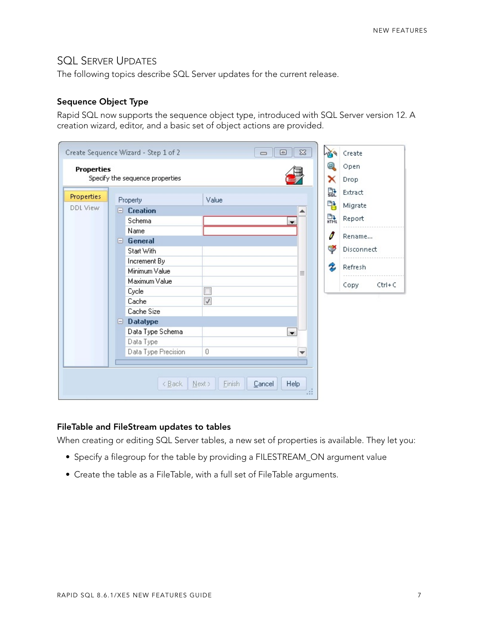## <span id="page-6-0"></span>SQL SERVER UPDATES

The following topics describe SQL Server updates for the current release.

#### **Sequence Object Type**

Rapid SQL now supports the sequence object type, introduced with SQL Server version 12. A creation wizard, editor, and a basic set of object actions are provided.

|                   |                                 | Create Sequence Wizard - Step 1 of 2 |                       | 叵<br>$\Box$              | $\Sigma$ |        | Create             |
|-------------------|---------------------------------|--------------------------------------|-----------------------|--------------------------|----------|--------|--------------------|
| <b>Properties</b> |                                 |                                      |                       |                          | Θ        | Open   |                    |
|                   | Specify the sequence properties |                                      |                       |                          |          | x      | Drop               |
| Properties        |                                 |                                      |                       |                          |          | 먎      | Extract            |
|                   |                                 | Property                             | Value                 |                          |          | 먭      | Migrate            |
| DDL View          | E.                              | <b>Creation</b>                      |                       |                          |          |        |                    |
|                   |                                 | Schema                               |                       | ▼                        |          | 縣      | Report             |
|                   |                                 | Name                                 |                       |                          |          | I      |                    |
| $\Box$ General    |                                 |                                      |                       |                          |          | Rename |                    |
|                   |                                 | Start With                           |                       |                          |          | ₹      | Disconnect         |
|                   |                                 | Increment By                         |                       |                          |          |        |                    |
|                   |                                 | Minimum Value                        |                       |                          | $\equiv$ | 2      | Refresh            |
|                   |                                 | Maximum Value                        |                       |                          |          |        | Copy<br>$Ctrl + C$ |
|                   |                                 | Cycle                                |                       |                          |          |        |                    |
|                   |                                 | Cache                                | $\sqrt{}$             |                          |          |        |                    |
|                   |                                 | Cache Size                           |                       |                          |          |        |                    |
|                   | Θ                               | <b>Datatype</b>                      |                       |                          |          |        |                    |
|                   |                                 | Data Type Schema                     |                       | $\overline{\phantom{a}}$ |          |        |                    |
|                   |                                 | Data Type                            |                       |                          |          |        |                    |
|                   |                                 | Data Type Precision                  | 0                     |                          | ۰        |        |                    |
|                   |                                 |                                      |                       |                          |          |        |                    |
|                   |                                 | < Back                               | <b>Finish</b><br>Next | Help<br>Cancel           |          |        |                    |

#### **FileTable and FileStream updates to tables**

When creating or editing SQL Server tables, a new set of properties is available. They let you:

- Specify a filegroup for the table by providing a FILESTREAM\_ON argument value
- Create the table as a FileTable, with a full set of FileTable arguments.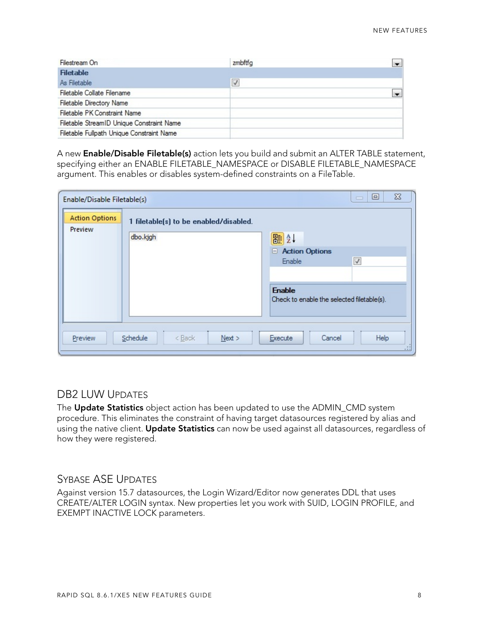| Filestream On                             | zmbftfg              |  |
|-------------------------------------------|----------------------|--|
| <b>Filetable</b>                          |                      |  |
| As Filetable                              | $\blacktriangledown$ |  |
| Filetable Collate Filename                |                      |  |
| <b>Filetable Directory Name</b>           |                      |  |
| Filetable PK Constraint Name              |                      |  |
| Filetable StreamID Unique Constraint Name |                      |  |
| Filetable Fullpath Unique Constraint Name |                      |  |

A new **Enable/Disable Filetable(s)** action lets you build and submit an ALTER TABLE statement, specifying either an ENABLE FILETABLE\_NAMESPACE or DISABLE FILETABLE\_NAMESPACE argument. This enables or disables system-defined constraints on a FileTable.

| Enable/Disable Filetable(s)      |                                                    | $\Sigma$<br>回<br>$\Box$                                                                        |
|----------------------------------|----------------------------------------------------|------------------------------------------------------------------------------------------------|
| <b>Action Options</b><br>Preview | 1 filetable(s) to be enabled/disabled.<br>dbo.kjgh | 闘∰↓<br><b>E</b> Action Options<br>$\blacktriangledown$<br>Enable                               |
| Preview                          | Schedule<br>$<$ Back<br>Next >                     | <b>Enable</b><br>Check to enable the selected filetable(s).<br>Help<br>Execute<br>Cancel<br>48 |

# <span id="page-7-0"></span>DB2 LUW UPDATES

The **Update Statistics** object action has been updated to use the ADMIN\_CMD system procedure. This eliminates the constraint of having target datasources registered by alias and using the native client. **Update Statistics** can now be used against all datasources, regardless of how they were registered.

# <span id="page-7-1"></span>SYBASE ASE UPDATES

Against version 15.7 datasources, the Login Wizard/Editor now generates DDL that uses CREATE/ALTER LOGIN syntax. New properties let you work with SUID, LOGIN PROFILE, and EXEMPT INACTIVE LOCK parameters.